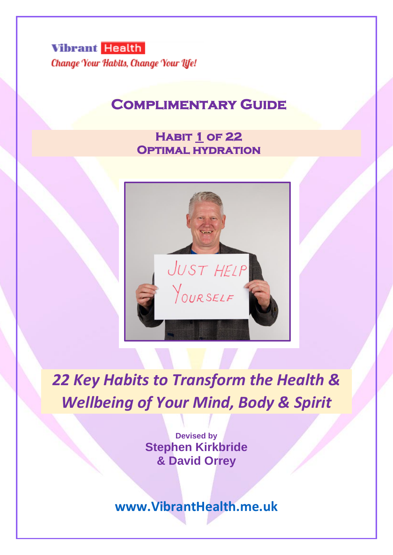**Vibrant Health** Change Your Habits, Change Your Life!

# **Complimentary Guide**

# **Habit 1 of 22 Optimal hydration**



*22 Key Habits to Transform the Health & Wellbeing of Your Mind, Body & Spirit*

> **Devised by Stephen Kirkbride & David Orrey**

**[www.VibrantHealth.me.uk](http://www.vibranthealth.me.uk/)**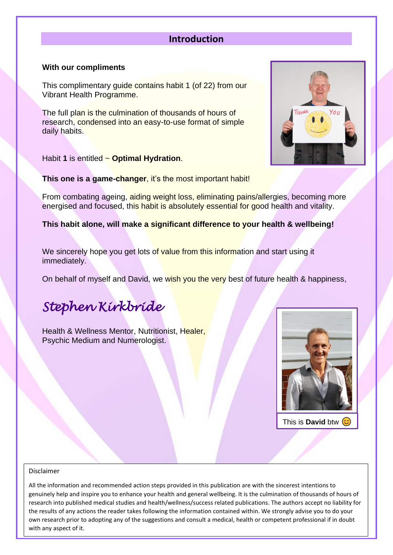# **Introduction**

### **With our compliments**

This complimentary guide contains habit 1 (of 22) from our Vibrant Health Programme.

The full plan is the culmination of thousands of hours of research, condensed into an easy-to-use format of simple daily habits.

Habit **1** is entitled ~ **Optimal Hydration**.

**This one is a game-changer**, it's the most important habit!

From combating ageing, aiding weight loss, eliminating pains/allergies, becoming more energised and focused, this habit is absolutely essential for good health and vitality.

**This habit alone, will make a significant difference to your health & wellbeing!**

We sincerely hope you get lots of value from this information and start using it immediately.

On behalf of myself and David, we wish you the very best of future health & happiness,

# *Stephen Kirkbride*

Health & Wellness Mentor, Nutritionist, Healer, Psychic Medium and Numerologist.



This is **David** btw

#### Disclaimer

own research prior to adopting any of the suggestions and consult a medical, health or competent professional if in doubt All the information and recommended action steps provided in this publication are with the sincerest intentions to genuinely help and inspire you to enhance your health and general wellbeing. It is the culmination of thousands of hours of research into published medical studies and health/wellness/success related publications. The authors accept no liability for the results of any actions the reader takes following the information contained within. We strongly advise you to do your with any aspect of it.

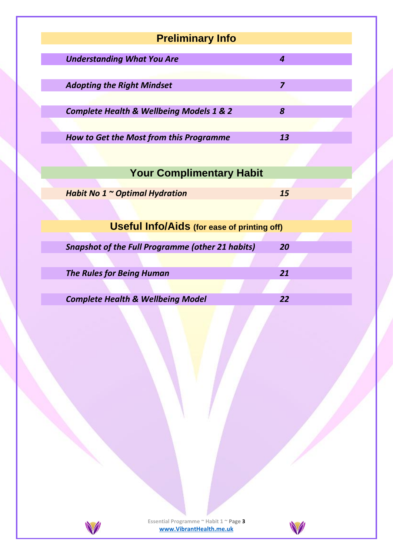| <b>Preliminary Info</b>                                 |                |
|---------------------------------------------------------|----------------|
| <b>Understanding What You Are</b>                       | $\overline{a}$ |
|                                                         |                |
| <b>Adopting the Right Mindset</b>                       | $\overline{z}$ |
| <b>Complete Health &amp; Wellbeing Models 1 &amp; 2</b> | 8              |
|                                                         |                |
| How to Get the Most from this Programme                 | 13             |
|                                                         |                |
| <b>Your Complimentary Habit</b>                         |                |
|                                                         |                |
| Habit No 1 ~ Optimal Hydration                          | 15             |
|                                                         |                |
| <b>Useful Info/Aids (for ease of printing off)</b>      |                |
|                                                         |                |
| <b>Snapshot of the Full Programme (other 21 habits)</b> | 20             |
|                                                         |                |
| <b>The Rules for Being Human</b>                        | 21             |
|                                                         |                |
| <b>Complete Health &amp; Wellbeing Model</b>            | 22             |
|                                                         |                |
|                                                         |                |



**Essential Programme ~ Habit 1 ~ Page 3 [www.VibrantHealth.me.uk](https://www.vibranthealth.me.uk/essential-plan)**

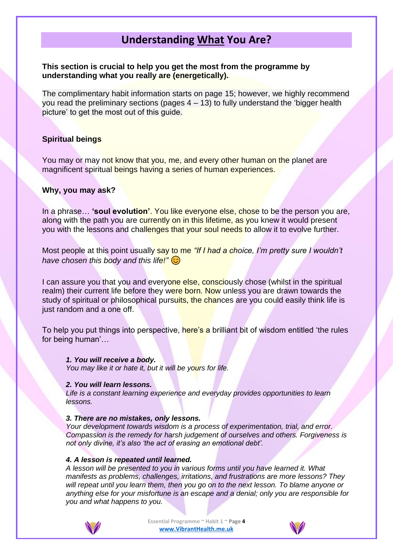# **Understanding What You Are?**

**This section is crucial to help you get the most from the programme by understanding what you really are (energetically).**

The complimentary habit information starts on page 15; however, we highly recommend you read the preliminary sections (pages  $4 - 13$ ) to fully understand the 'bigger health picture' to get the most out of this guide.

### **Spiritual beings**

You may or may not know that you, me, and every other human on the planet are magnificent spiritual beings having a series of human experiences.

### **Why, you may ask?**

In a phrase… **'soul evolution'**. You like everyone else, chose to be the person you are, along with the path you are currently on in this lifetime, as you knew it would present you with the lessons and challenges that your soul needs to allow it to evolve further.

Most people at this point usually say to me *"If I had a choice, I'm pretty sure I wouldn't have chosen this body and this life!"*

I can assure you that you and everyone else, consciously chose (whilst in the spiritual realm) their current life before they were born. Now unless you are drawn towards the study of spiritual or philosophical pursuits, the chances are you could easily think life is just random and a one off.

To help you put things into perspective, here's a brilliant bit of wisdom entitled 'the rules for being human'…

### *1. You will receive a body.*

*You may like it or hate it, but it will be yours for life.*

#### *2. You will learn lessons.*

*Life is a constant learning experience and everyday provides opportunities to learn lessons.* 

#### *3. There are no mistakes, only lessons.*

*Your development towards wisdom is a process of experimentation, trial, and error. Compassion is the remedy for harsh judgement of ourselves and others. Forgiveness is not only divine, it's also 'the act of erasing an emotional debt'.*

#### *4. A lesson is repeated until learned.*

*A lesson will be presented to you in various forms until you have learned it. What manifests as problems, challenges, irritations, and frustrations are more lessons? They will repeat until you learn them, then you go on to the next lesson. To blame anyone or anything else for your misfortune is an escape and a denial; only you are responsible for you and what happens to you.*



**Essential Programme ~ Habit 1 ~ Page 4 [www.VibrantHealth.me.uk](https://www.vibranthealth.me.uk/essential-plan)**

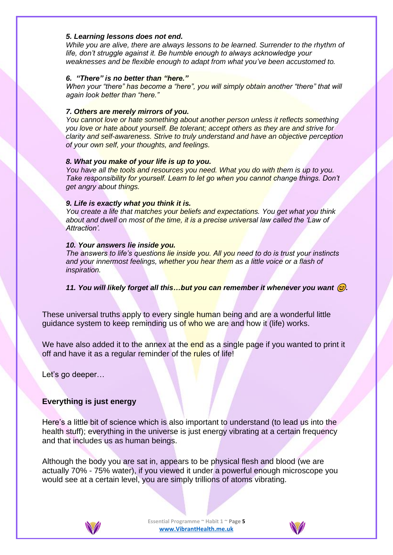#### *5. Learning lessons does not end.*

*While you are alive, there are always lessons to be learned. Surrender to the rhythm of life, don't struggle against it. Be humble enough to always acknowledge your weaknesses and be flexible enough to adapt from what you've been accustomed to.*

### *6. "There" is no better than "here."*

*When your "there" has become a "here", you will simply obtain another "there" that will again look better than "here."*

### *7. Others are merely mirrors of you.*

*You cannot love or hate something about another person unless it reflects something you love or hate about yourself. Be tolerant; accept others as they are and strive for clarity and self-awareness. Strive to truly understand and have an objective perception of your own self, your thoughts, and feelings.*

#### *8. What you make of your life is up to you.*

*You have all the tools and resources you need. What you do with them is up to you. Take responsibility for yourself. Learn to let go when you cannot change things. Don't get angry about things.*

### *9. Life is exactly what you think it is.*

*You create a life that matches your beliefs and expectations. You get what you think*  about and dwell on most of the time, it is a precise universal law called the 'Law of *Attraction'.*

### *10. Your answers lie inside you.*

*The answers to life's questions lie inside you. All you need to do is trust your instincts and your innermost feelings, whether you hear them as a little voice or a flash of inspiration.* 

*11. You will likely forget all this…but you can remember it whenever you want .*

These universal truths apply to every single human being and are a wonderful little guidance system to keep reminding us of who we are and how it (life) works.

We have also added it to the annex at the end as a single page if you wanted to print it off and have it as a regular reminder of the rules of life!

Let's go deeper…

### **Everything is just energy**

Here's a little bit of science which is also important to understand (to lead us into the health stuff); everything in the universe is just energy vibrating at a certain frequency and that includes us as human beings.

Although the body you are sat in, appears to be physical flesh and blood (we are actually 70% - 75% water), if you viewed it under a powerful enough microscope you would see at a certain level, you are simply trillions of atoms vibrating.



**Essential Programme ~ Habit 1 ~ Page 5 [www.VibrantHealth.me.uk](https://www.vibranthealth.me.uk/essential-plan)**

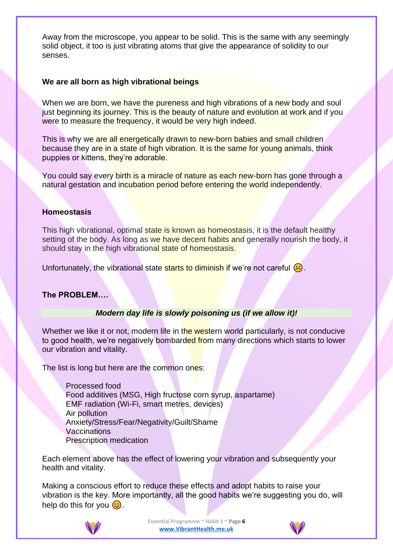Away from the microscope, you appear to be solid. This is the same with any seemingly solid object, it too is just vibrating atoms that give the appearance of solidity to our senses.

### **We are all born as high vibrational beings**

When we are born, we have the pureness and high vibrations of a new body and soul just beginning its journey. This is the beauty of nature and evolution at work and if you were to measure the frequency, it would be very high indeed.

This is why we are all energetically drawn to new-born babies and small children because they are in a state of high vibration. It is the same for young animals, think puppies or kittens, they're adorable.

You could say every birth is a miracle of nature as each new-born has gone through a natural gestation and incubation period before entering the world independently.

### **Homeostasis**

This high vibrational, optimal state is known as homeostasis, it is the default healthy setting of the body. As long as we have decent habits and generally nourish the body, it should stay in the high vibrational state of homeostasis.

Unfortunately, the vibrational state starts to diminish if we're not careful  $\langle \cdot \rangle$ .

### **The PROBLEM….**

### *Modern day life is slowly poisoning us (if we allow it)!*

Whether we like it or not, modern life in the western world particularly, is not conducive to good health, we're negatively bombarded from many directions which starts to lower our vibration and vitality.

The list is long but here are the common ones:

Processed food Food additives (MSG, High fructose corn syrup, aspartame) EMF radiation (Wi-Fi, smart metres, devices) Air pollution Anxiety/Stress/Fear/Negativity/Guilt/Shame Vaccinations Prescription medication

Each element above has the effect of lowering your vibration and subsequently your health and vitality.

Making a conscious effort to reduce these effects and adopt habits to raise your vibration is the key. More importantly, all the good habits we're suggesting you do, will help do this for you  $\odot$ .



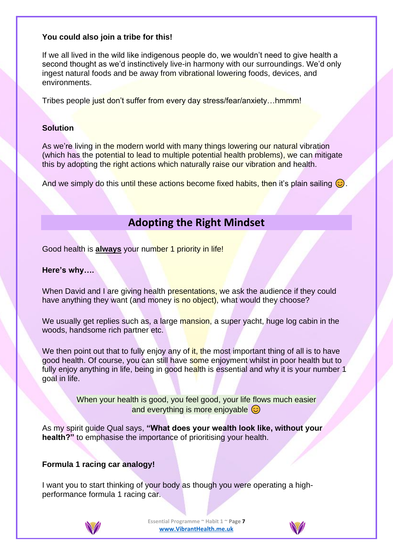### **You could also join a tribe for this!**

If we all lived in the wild like indigenous people do, we wouldn't need to give health a second thought as we'd instinctively live-in harmony with our surroundings. We'd only ingest natural foods and be away from vibrational lowering foods, devices, and environments.

Tribes people just don't suffer from every day stress/fear/anxiety…hmmm!

### **Solution**

As we're living in the modern world with many things lowering our natural vibration (which has the potential to lead to multiple potential health problems), we can mitigate this by adopting the right actions which naturally raise our vibration and health.

And we simply do this until these actions become fixed habits, then it's plain sailing  $\odot$ 

# **Adopting the Right Mindset**

Good health is **always** your number 1 priority in life!

### **Here's why….**

When David and I are giving health presentations, we ask the audience if they could have anything they want (and money is no object), what would they choose?

We usually get replies such as, a large mansion, a super yacht, huge log cabin in the woods, handsome rich partner etc.

We then point out that to fully enjoy any of it, the most important thing of all is to have good health. Of course, you can still have some enjoyment whilst in poor health but to fully enjoy anything in life, being in good health is essential and why it is your number 1 goal in life.

> When your health is good, you feel good, your life flows much easier and everything is more enjoyable  $\odot$

As my spirit guide Qual says, **"What does your wealth look like, without your health?"** to emphasise the importance of prioritising your health.

# **Formula 1 racing car analogy!**

I want you to start thinking of your body as though you were operating a highperformance formula 1 racing car.



**Essential Programme ~ Habit 1 ~ Page 7 [www.VibrantHealth.me.uk](https://www.vibranthealth.me.uk/essential-plan)**

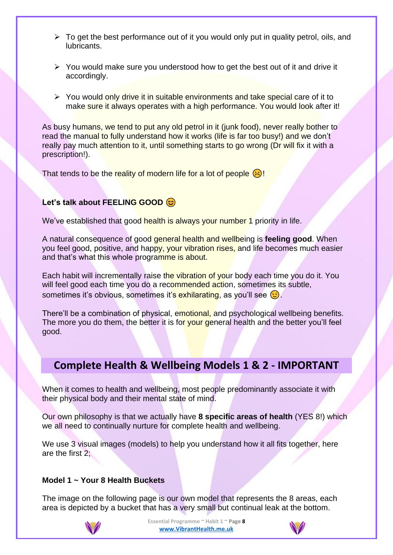- $\triangleright$  To get the best performance out of it you would only put in quality petrol, oils, and lubricants.
- ➢ You would make sure you understood how to get the best out of it and drive it accordingly.
- ➢ You would only drive it in suitable environments and take special care of it to make sure it always operates with a high performance. You would look after it!

As busy humans, we tend to put any old petrol in it (junk food), never really bother to read the manual to fully understand how it works (life is far too busy!) and we don't really pay much attention to it, until something starts to go wrong (Dr will fix it with a prescription!).

That tends to be the reality of modern life for a lot of people  $\langle \cdot \rangle$ !

# **Let's talk about FEELING GOOD**

We've established that good health is always your number 1 priority in life.

A natural consequence of good general health and wellbeing is **feeling good**. When you feel good, positive, and happy, your vibration rises, and life becomes much easier and that's what this whole programme is about.

Each habit will incrementally raise the vibration of your body each time you do it. You will feel good each time you do a recommended action, sometimes its subtle, sometimes it's obvious, sometimes it's exhilarating, as you'll see  $\odot$ .

There'll be a combination of physical, emotional, and psychological wellbeing benefits. The more you do them, the better it is for your general health and the better you'll feel good.

# **Complete Health & Wellbeing Models 1 & 2 - IMPORTANT**

When it comes to health and wellbeing, most people predominantly associate it with their physical body and their mental state of mind.

Our own philosophy is that we actually have **8 specific areas of health** (YES 8!) which we all need to continually nurture for complete health and wellbeing.

We use 3 visual images (models) to help you understand how it all fits together, here are the first 2;

### **Model 1 ~ Your 8 Health Buckets**

The image on the following page is our own model that represents the 8 areas, each area is depicted by a bucket that has a very small but continual leak at the bottom.



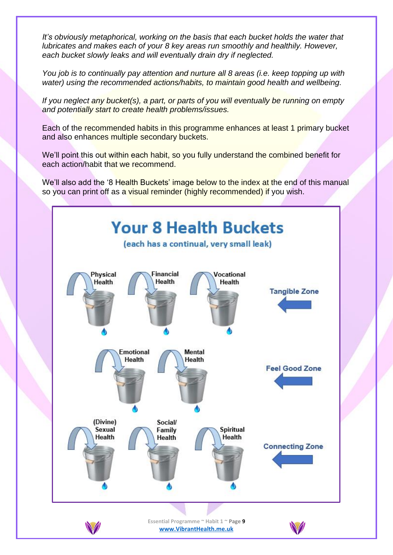*It's obviously metaphorical, working on the basis that each bucket holds the water that lubricates and makes each of your 8 key areas run smoothly and healthily. However, each bucket slowly leaks and will eventually drain dry if neglected.*

*You job is to continually pay attention and nurture all 8 areas (i.e. keep topping up with water) using the recommended actions/habits, to maintain good health and wellbeing.*

*If you neglect any bucket(s), a part, or parts of you will eventually be running on empty and potentially start to create health problems/issues.*

Each of the recommended habits in this programme enhances at least 1 primary bucket and also enhances multiple secondary buckets.

We'll point this out within each habit, so you fully understand the combined benefit for each action/habit that we recommend.

We'll also add the '8 Health Buckets' image below to the index at the end of this manual so you can print off as a visual reminder (highly recommended) if you wish.

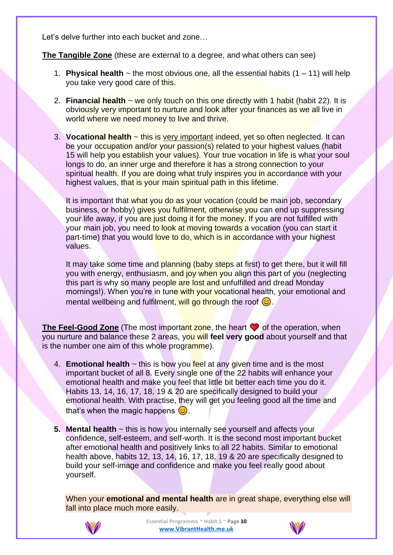Let's delve further into each bucket and zone…

**The Tangible Zone** (these are external to a degree, and what others can see)

- 1. **Physical health**  $\sim$  the most obvious one, all the essential habits  $(1 11)$  will help you take very good care of this.
- 2. **Financial health** ~ we only touch on this one directly with 1 habit (habit 22). It is obviously very important to nurture and look after your finances as we all live in world where we need money to live and thrive.
- 3. **Vocational health** ~ this is very important indeed, yet so often neglected. It can be your occupation and/or your passion(s) related to your highest values (habit 15 will help you establish your values). Your true vocation in life is what your soul longs to do, an inner urge and therefore it has a strong connection to your spiritual health. If you are doing what truly inspires you in accordance with your highest values, that is your main spiritual path in this lifetime.

It is important that what you do as your vocation (could be main job, secondary business, or hobby) gives you fulfilment, otherwise you can end up suppressing your life away, if you are just doing it for the money. If you are not fulfilled with your main job, you need to look at moving towards a vocation (you can start it part-time) that you would love to do, which is in accordance with your highest values.

It may take some time and planning (baby steps at first) to get there, but it will fill you with energy, enthusiasm, and joy when you align this part of you (neglecting this part is why so many people are lost and unfulfilled and dread Monday mornings!). When you're in tune with your vocational health, your emotional and mental wellbeing and fulfilment, will go through the roof  $\odot$ .

**The Feel-Good Zone** (The most important zone, the heart **v** of the operation, when you nurture and balance these 2 areas, you will **feel very good** about yourself and that is the number one aim of this whole programme).

- 4. **Emotional health** ~ this is how you feel at any given time and is the most important bucket of all 8. Every single one of the 22 habits will enhance your emotional health and make you feel that little bit better each time you do it. Habits 13, 14, 16, 17, 18, 19 & 20 are specifically designed to build your emotional health. With practise, they will get you feeling good all the time and that's when the magic happens  $\odot$ .
- **5. Mental health** ~ this is how you internally see yourself and affects your confidence, self-esteem, and self-worth. It is the second most important bucket after emotional health and positively links to all 22 habits. Similar to emotional health above, habits 12, 13, 14, 16, 17, 18, 19 & 20 are specifically designed to build your self-image and confidence and make you feel really good about yourself.

When your **emotional and mental health** are in great shape, everything else will fall into place much more easily.



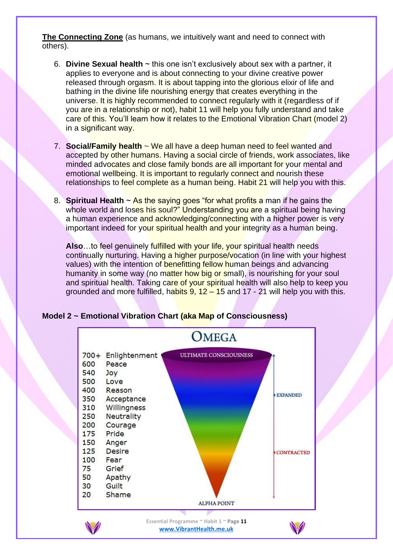**The Connecting Zone** (as humans, we intuitively want and need to connect with others).

- 6. **Divine Sexual health** ~ this one isn't exclusively about sex with a partner, it applies to everyone and is about connecting to your divine creative power released through orgasm. It is about tapping into the glorious elixir of life and bathing in the divine life nourishing energy that creates everything in the universe. It is highly recommended to connect regularly with it (regardless of if you are in a relationship or not), habit 11 will help you fully understand and take care of this. You'll learn how it relates to the Emotional Vibration Chart (model 2) in a significant way.
- 7. **Social/Family health** ~ We all have a deep human need to feel wanted and accepted by other humans. Having a social circle of friends, work associates, like minded advocates and close family bonds are all important for your mental and emotional wellbeing. It is important to regularly connect and nourish these relationships to feel complete as a human being. Habit 21 will help you with this.
- 8. **Spiritual Health** ~ As the saying goes "for what profits a man if he gains the whole world and loses his soul?" Understanding you are a spiritual being having a human experience and acknowledging/connecting with a higher power is very important indeed for your spiritual health and your integrity as a human being.

**Also**…to feel genuinely fulfilled with your life, your spiritual health needs continually nurturing. Having a higher purpose/vocation (in line with your highest values) with the intention of benefitting fellow human beings and advancing humanity in some way (no matter how big or small), is nourishing for your soul and spiritual health. Taking care of your spiritual health will also help to keep you grounded and more fulfilled, habits  $9, 12 - 15$  and  $17 - 21$  will help you with this.



# **Model 2 ~ Emotional Vibration Chart (aka Map of Consciousness)**

**[www.VibrantHealth.me.uk](https://www.vibranthealth.me.uk/essential-plan)**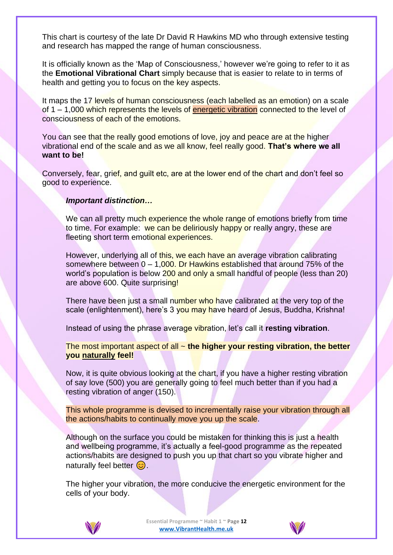This chart is courtesy of the late Dr David R Hawkins MD who through extensive testing and research has mapped the range of human consciousness.

It is officially known as the 'Map of Consciousness,' however we're going to refer to it as the **Emotional Vibrational Chart** simply because that is easier to relate to in terms of health and getting you to focus on the key aspects.

It maps the 17 levels of human consciousness (each labelled as an emotion) on a scale of  $1 - 1,000$  which represents the levels of energetic vibration connected to the level of consciousness of each of the emotions.

You can see that the really good emotions of love, joy and peace are at the higher vibrational end of the scale and as we all know, feel really good. **That's where we all want to be!**

Conversely, fear, grief, and guilt etc, are at the lower end of the chart and don't feel so good to experience.

### *Important distinction…*

We can all pretty much experience the whole range of emotions briefly from time to time. For example: we can be deliriously happy or really angry, these are fleeting short term emotional experiences.

However, underlying all of this, we each have an average vibration calibrating somewhere between  $0 - 1,000$ . Dr Hawkins established that around 75% of the world's population is below 200 and only a small handful of people (less than 20) are above 600. Quite surprising!

There have been just a small number who have calibrated at the very top of the scale (enlightenment), here's 3 you may have heard of Jesus, Buddha, Krishna!

Instead of using the phrase average vibration, let's call it **resting vibration**.

The most important aspect of all ~ **the higher your resting vibration, the better you naturally feel!**

Now, it is quite obvious looking at the chart, if you have a higher resting vibration of say love (500) you are generally going to feel much better than if you had a resting vibration of anger (150).

This whole programme is devised to incrementally raise your vibration through all the actions/habits to continually move you up the scale.

Although on the surface you could be mistaken for thinking this is just a health and wellbeing programme, it's actually a feel-good programme as the repeated actions/habits are designed to push you up that chart so you vibrate higher and naturally feel better  $\odot$ .

The higher your vibration, the more conducive the energetic environment for the cells of your body.



**Essential Programme ~ Habit 1 ~ Page 12 [www.VibrantHealth.me.uk](https://www.vibranthealth.me.uk/essential-plan)**

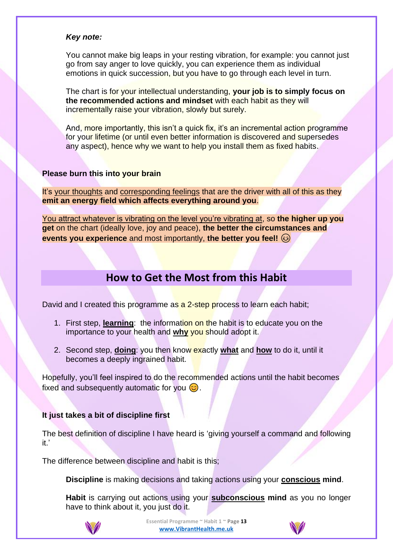### *Key note:*

You cannot make big leaps in your resting vibration, for example: you cannot just go from say anger to love quickly, you can experience them as individual emotions in quick succession, but you have to go through each level in turn.

The chart is for your intellectual understanding, **your job is to simply focus on the recommended actions and mindset** with each habit as they will incrementally raise your vibration, slowly but surely.

And, more importantly, this isn't a quick fix, it's an incremental action programme for your lifetime (or until even better information is discovered and supersedes any aspect), hence why we want to help you install them as fixed habits.

### **Please burn this into your brain**

It's your thoughts and corresponding feelings that are the driver with all of this as they **emit an energy field which affects everything around you**.

You attract whatever is vibrating on the level you're vibrating at, so **the higher up you get** on the chart (ideally love, joy and peace), **the better the circumstances and events you experience** and most importantly, **the better you feel!**

# **How to Get the Most from this Habit**

David and I created this programme as a 2-step process to learn each habit;

- 1. First step, **learning**: the information on the habit is to educate you on the importance to your health and **why** you should adopt it.
- 2. Second step, **doing**: you then know exactly **what** and **how** to do it, until it becomes a deeply ingrained habit.

Hopefully, you'll feel inspired to do the recommended actions until the habit becomes fixed and subsequently automatic for you  $\odot$ .

### **It just takes a bit of discipline first**

The best definition of discipline I have heard is 'giving yourself a command and following it.'

The difference between discipline and habit is this;

**Discipline** is making decisions and taking actions using your **conscious mind**.

**Habit** is carrying out actions using your **subconscious mind** as you no longer have to think about it, you just do it.



**Essential Programme ~ Habit 1 ~ Page 13 [www.VibrantHealth.me.uk](https://www.vibranthealth.me.uk/essential-plan)**

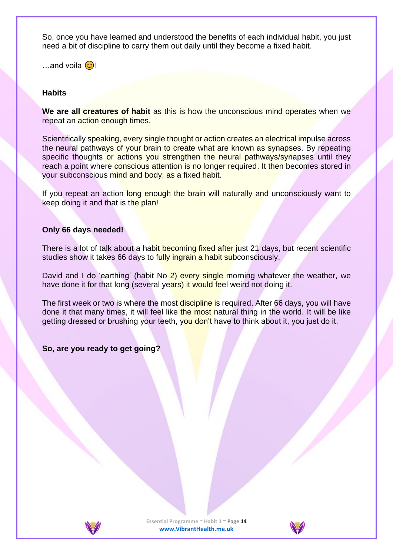So, once you have learned and understood the benefits of each individual habit, you just need a bit of discipline to carry them out daily until they become a fixed habit.

…and voila  $\odot$ !

### **Habits**

**We are all creatures of habit** as this is how the unconscious mind operates when we repeat an action enough times.

Scientifically speaking, every single thought or action creates an electrical impulse across the neural pathways of your brain to create what are known as synapses. By repeating specific thoughts or actions you strengthen the neural pathways/synapses until they reach a point where conscious attention is no longer required. It then becomes stored in your subconscious mind and body, as a fixed habit.

If you repeat an action long enough the brain will naturally and unconsciously want to keep doing it and that is the plan!

### **Only 66 days needed!**

There is a lot of talk about a habit becoming fixed after just 21 days, but recent scientific studies show it takes 66 days to fully ingrain a habit subconsciously.

David and I do 'earthing' (habit No 2) every single morning whatever the weather, we have done it for that long (several years) it would feel weird not doing it.

The first week or two is where the most discipline is required. After 66 days, you will have done it that many times, it will feel like the most natural thing in the world. It will be like getting dressed or brushing your teeth, you don't have to think about it, you just do it.

**So, are you ready to get going?**



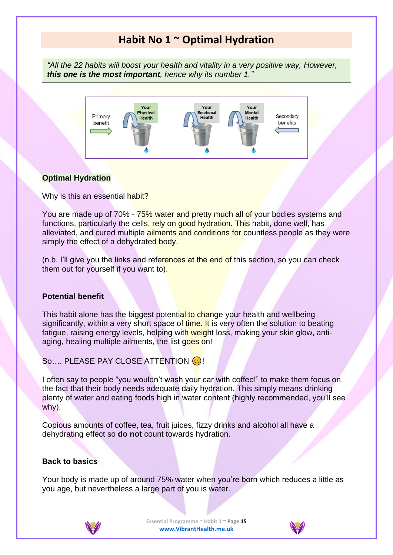# **Habit No 1 ~ Optimal Hydration**

*"All the 22 habits will boost your health and vitality in a very positive way, However, this one is the most important, hence why its number 1."*



# **Optimal Hydration**

Why is this an essential habit?

You are made up of 70% - 75% water and pretty much all of your bodies systems and functions, particularly the cells, rely on good hydration. This habit, done well, has alleviated, and cured multiple ailments and conditions for countless people as they were simply the effect of a dehydrated body.

(n.b. I'll give you the links and references at the end of this section, so you can check them out for yourself if you want to).

### **Potential benefit**

This habit alone has the biggest potential to change your health and wellbeing significantly, within a very short space of time. It is very often the solution to beating fatigue, raising energy levels, helping with weight loss, making your skin glow, antiaging, healing multiple ailments, the list goes on!

So.... PLEASE PAY CLOSE ATTENTION  $\odot$ !

I often say to people "you wouldn't wash your car with coffee!" to make them focus on the fact that their body needs adequate daily hydration. This simply means drinking plenty of water and eating foods high in water content (highly recommended, you'll see why).

Copious amounts of coffee, tea, fruit juices, fizzy drinks and alcohol all have a dehydrating effect so **do not** count towards hydration.

### **Back to basics**

Your body is made up of around 75% water when you're born which reduces a little as you age, but nevertheless a large part of you is water.



**Essential Programme ~ Habit 1 ~ Page 15 [www.VibrantHealth.me.uk](https://www.vibranthealth.me.uk/essential-plan)**

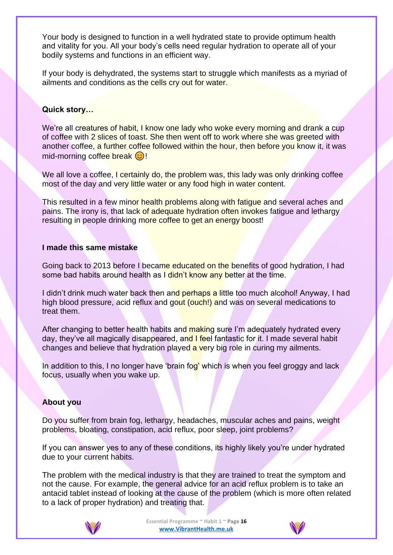Your body is designed to function in a well hydrated state to provide optimum health and vitality for you. All your body's cells need regular hydration to operate all of your bodily systems and functions in an efficient way.

If your body is dehydrated, the systems start to struggle which manifests as a myriad of ailments and conditions as the cells cry out for water.

### **Quick story…**

We're all creatures of habit, I know one lady who woke every morning and drank a cup of coffee with 2 slices of toast. She then went off to work where she was greeted with another coffee, a further coffee followed within the hour, then before you know it, it was  $mid$ -morning coffee break  $\odot$ !

We all love a coffee, I certainly do, the problem was, this lady was only drinking coffee most of the day and very little water or any food high in water content.

This resulted in a few minor health problems along with fatigue and several aches and pains. The irony is, that lack of adequate hydration often invokes fatigue and lethargy resulting in people drinking more coffee to get an energy boost!

### **I made this same mistake**

Going back to 2013 before I became educated on the benefits of good hydration, I had some bad habits around health as I didn't know any better at the time.

I didn't drink much water back then and perhaps a little too much alcohol! Anyway, I had high blood pressure, acid reflux and gout (ouch!) and was on several medications to treat them.

After changing to better health habits and making sure I'm adequately hydrated every day, they've all magically disappeared, and I feel fantastic for it. I made several habit changes and believe that hydration played a very big role in curing my ailments.

In addition to this, I no longer have 'brain fog' which is when you feel groggy and lack focus, usually when you wake up.

### **About you**

Do you suffer from brain fog, lethargy, headaches, muscular aches and pains, weight problems, bloating, constipation, acid reflux, poor sleep, joint problems?

If you can answer yes to any of these conditions, its highly likely you're under hydrated due to your current habits.

The problem with the medical industry is that they are trained to treat the symptom and not the cause. For example, the general advice for an acid reflux problem is to take an antacid tablet instead of looking at the cause of the problem (which is more often related to a lack of proper hydration) and treating that.



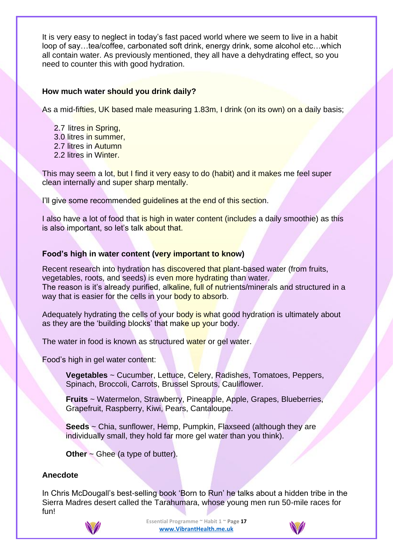It is very easy to neglect in today's fast paced world where we seem to live in a habit loop of say…tea/coffee, carbonated soft drink, energy drink, some alcohol etc…which all contain water. As previously mentioned, they all have a dehydrating effect, so you need to counter this with good hydration.

### **How much water should you drink daily?**

As a mid-fifties, UK based male measuring 1.83m, I drink (on its own) on a daily basis;

- 2.7 litres in Spring,
- 3.0 litres in summer,
- 2.7 litres in Autumn
- 2.2 litres in Winter.

This may seem a lot, but I find it very easy to do (habit) and it makes me feel super clean internally and super sharp mentally.

I'll give some recommended guidelines at the end of this section.

I also have a lot of food that is high in water content (includes a daily smoothie) as this is also important, so let's talk about that.

# **Food's high in water content (very important to know)**

Recent research into hydration has discovered that plant-based water (from fruits, vegetables, roots, and seeds) is even more hydrating than water. The reason is it's already purified, alkaline, full of nutrients/minerals and structured in a way that is easier for the cells in your body to absorb.

Adequately hydrating the cells of your body is what good hydration is ultimately about as they are the 'building blocks' that make up your body.

The water in food is known as structured water or gel water.

Food's high in gel water content:

**Vegetables** ~ Cucumber, Lettuce, Celery, Radishes, Tomatoes, Peppers, Spinach, Broccoli, Carrots, Brussel Sprouts, Cauliflower.

**Fruits** ~ Watermelon, Strawberry, Pineapple, Apple, Grapes, Blueberries, Grapefruit, Raspberry, Kiwi, Pears, Cantaloupe.

**Seeds** ~ Chia, sunflower, Hemp, Pumpkin, Flaxseed (although they are individually small, they hold far more gel water than you think).

**Other** ~ Ghee (a type of butter).

### **Anecdote**

In Chris McDougall's best-selling book 'Born to Run' he talks about a hidden tribe in the Sierra Madres desert called the Tarahumara, whose young men run 50-mile races for fun!



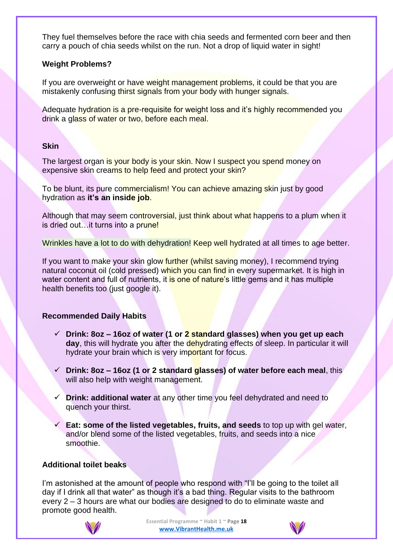They fuel themselves before the race with chia seeds and fermented corn beer and then carry a pouch of chia seeds whilst on the run. Not a drop of liquid water in sight!

### **Weight Problems?**

If you are overweight or have weight management problems, it could be that you are mistakenly confusing thirst signals from your body with hunger signals.

Adequate hydration is a pre-requisite for weight loss and it's highly recommended you drink a glass of water or two, before each meal.

### **Skin**

The largest organ is your body is your skin. Now I suspect you spend money on expensive skin creams to help feed and protect your skin?

To be blunt, its pure commercialism! You can achieve amazing skin just by good hydration as **it's an inside job**.

Although that may seem controversial, just think about what happens to a plum when it is dried out...it turns into a prune!

Wrinkles have a lot to do with dehydration! Keep well hydrated at all times to age better.

If you want to make your skin glow further (whilst saving money), I recommend trying natural coconut oil (cold pressed) which you can find in every supermarket. It is high in water content and full of nutrients, it is one of nature's little gems and it has multiple health benefits too (just google it).

# **Recommended Daily Habits**

- ✓ **Drink: 8oz – 16oz of water (1 or 2 standard glasses) when you get up each**  day, this will hydrate you after the dehydrating effects of sleep. In particular it will hydrate your brain which is very important for focus.
- ✓ **Drink: 8oz – 16oz (1 or 2 standard glasses) of water before each meal**, this will also help with weight management.
- **Drink: additional water** at any other time you feel dehydrated and need to quench your thirst.
- ✓ **Eat: some of the listed vegetables, fruits, and seeds** to top up with gel water, and/or blend some of the listed vegetables, fruits, and seeds into a nice smoothie.

# **Additional toilet beaks**

I'm astonished at the amount of people who respond with "I'll be going to the toilet all day if I drink all that water" as though it's a bad thing. Regular visits to the bathroom every 2 – 3 hours are what our bodies are designed to do to eliminate waste and promote good health.



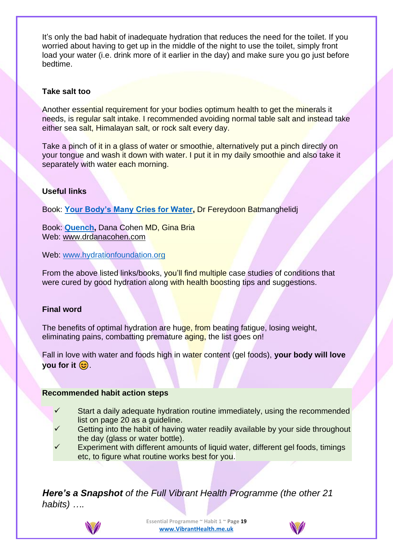It's only the bad habit of inadequate hydration that reduces the need for the toilet. If you worried about having to get up in the middle of the night to use the toilet, simply front load your water (i.e. drink more of it earlier in the day) and make sure you go just before bedtime.

### **Take salt too**

Another essential requirement for your bodies optimum health to get the minerals it needs, is regular salt intake. I recommended avoiding normal table salt and instead take either sea salt, Himalayan salt, or rock salt every day.

Take a pinch of it in a glass of water or smoothie, alternatively put a pinch directly on your tongue and wash it down with water. I put it in my daily smoothie and also take it separately with water each morning.

# **Useful links**

Book: **[Your Body's Many Cries for Water,](https://amzn.to/3b35KCp)** Dr Fereydoon Batmanghelidj

Book: **[Quench,](https://amzn.to/2wBwon6)** Dana Cohen MD, Gina Bria Web: [www.drdanacohen.com](http://www.drdanacohen.com/)

Web: [www.hydrationfoundation.org](http://www.hydrationfoundation.org/)

From the above listed links/books, you'll find multiple case studies of conditions that were cured by good hydration along with health boosting tips and suggestions.

# **Final word**

The benefits of optimal hydration are huge, from beating fatigue, losing weight, eliminating pains, combatting premature aging, the list goes on!

Fall in love with water and foods high in water content (gel foods), **your body will love you for it**  $\circledcirc$ **.** 

# **Recommended habit action steps**

- Start a daily adequate hydration routine immediately, using the recommended list on page 20 as a guideline.
- Getting into the habit of having water readily available by your side throughout the day (glass or water bottle).
- Experiment with different amounts of liquid water, different gel foods, timings etc, to figure what routine works best for you.

*Here's a Snapshot of the Full Vibrant Health Programme (the other 21 habits) ….*



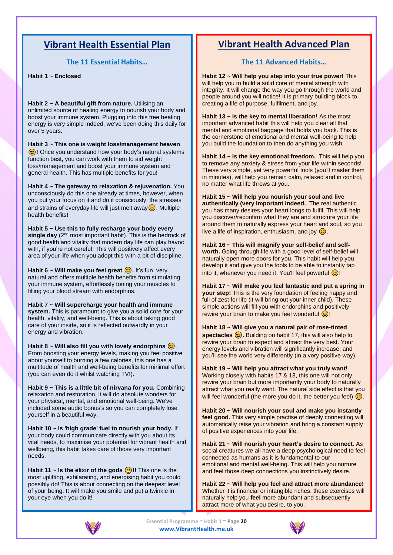# **Vibrant Health Essential Plan**

**The 11 Essential Habits…**

**Habit 1 ~ Enclosed** 

**Habit 2 ~ A beautiful gift from nature.** Utilising an unlimited source of healing energy to nourish your body and boost your immune system. Plugging into this free healing energy is very simple indeed, we've been doing this daily for over 5 years.

**Habit 3 ~ This one is weight loss/management heaven (c)!** Once you understand how your body's natural systems function best, you can work with them to aid weight loss/management and boost your immune system and general health. This has multiple benefits for you!

**Habit 4 ~ The gateway to relaxation & rejuvenation.** You unconsciously do this one already at times, however, when you put your focus on it and do it consciously, the stresses and strains of everyday life will just melt away  $\odot$ . Multiple health benefits!

**Habit 5 ~ Use this to fully recharge your body every single day** (2nd most important habit). This is the bedrock of good health and vitality that modern day life can play havoc with, if you're not careful. This will positively affect every area of your life when you adopt this with a bit of discipline.

**Habit 6 ~ Will make you feel great**  $\odot$ **. It's fun, very** natural and offers multiple health benefits from stimulating your immune system, effortlessly toning your muscles to filling your blood stream with endorphins.

**Habit 7 ~ Will supercharge your health and immune system.** This is paramount to give you a solid core for your health, vitality, and well-being. This is about taking good care of your inside, so it is reflected outwardly in your energy and vibration.

**Habit 8 ~ Will also fill you with lovely endorphins**  $\odot$ **.** From boosting your energy levels, making you feel positive about yourself to burning a few calories, this one has a multitude of health and well-being benefits for minimal effort (you can even do it whilst watching TV!).

**Habit 9 ~ This is a little bit of nirvana for you.** Combining relaxation and restoration, it will do absolute wonders for your physical, mental, and emotional well-being. We've included some audio bonus's so you can completely lose yourself in a beautiful way.

**Habit 10 ~ Is 'high grade' fuel to nourish your body.** If your body could communicate directly with you about its vital needs, to maximise your potential for vibrant health and wellbeing, this habit takes care of those very important needs.

**Habit 11 ~ Is the elixir of the gods**  $\bigcirc$ **!!** This one is the most uplifting, exhilarating, and energising habit you could possibly do! This is about connecting on the deepest level of your being. It will make you smile and put a twinkle in your eye when you do it!

# **Vibrant Health Advanced Plan**

### **The 11 Advanced Habits…**

**Habit 12 ~ Will help you step into your true power!** This will help you to build a solid core of mental strength with integrity. It will change the way you go through the world and people around you will notice! It is primary building block to creating a life of purpose, fulfilment, and joy.

**Habit 13 ~ Is the key to mental liberation!** As the most important advanced habit this will help you clear all that mental and emotional baggage that holds you back. This is the cornerstone of emotional and mental well-being to help you build the foundation to then do anything you wish.

**Habit 14 ~ Is the key emotional freedom.** This will help you to remove any anxiety & stress from your life within seconds! These very simple, yet very powerful tools (you'll master them in minutes), will help you remain calm, relaxed and in control, no matter what life throws at you.

**Habit 15 ~ Will help you nourish your soul and live authentically (very important indeed.** The real authentic you has many desires your heart longs to fulfil. This will help you discover/reconfirm what they are and structure your life around them to naturally express your heart and soul, so you live a life of inspiration, enthusiasm, and joy  $\odot$ .

**Habit 16 ~ This will magnify your self-belief and selfworth.** Going through life with a good level of self-belief will naturally open more doors for you. This habit will help you develop it and give you the tools to be able to instantly tap into it, whenever you need it. You'll feel powerful  $\odot$ !

**Habit 17 ~ Will make you feel fantastic and put a spring in your step!** This is the very foundation of feeling happy and full of zest for life (it will bring out your inner child). These simple actions will fill you with endorphins and positively rewire your brain to make you feel wonderful  $\bigcirc$ !

**Habit 18 ~ Will give you a natural pair of rose-tinted**  spectacles  $\odot$ . Building on habit 17, this will also help to rewire your brain to expect and attract the very best. Your energy levels and vibration will significantly increase, and you'll see the world very differently (in a very positive way).

**Habit 19 ~ Will help you attract what you truly want!** Working closely with habits 17 & 18, this one will not only rewire your brain but more importantly your body to naturally attract what you really want. The natural side effect is that you will feel wonderful (the more you do it, the better you feel)  $\odot$ .

**Habit 20 ~ Will nourish your soul and make you instantly feel good.** This very simple practise of deeply connecting will automatically raise your vibration and bring a constant supply of positive experiences into your life.

**Habit 21 ~ Will nourish your heart's desire to connect.** As social creatures we all have a deep psychological need to feel connected as humans as it is fundamental to our emotional and mental well-being. This will help you nurture and feel those deep connections you instinctively desire.

**Habit 22 ~ Will help you feel and attract more abundance!** Whether it is financial or intangible riches, these exercises will naturally help you **feel** more abundant and subsequently attract more of what you desire, to you.



**Essential Programme ~ Habit 1 ~ Page 20 [www.VibrantHealth.me.uk](https://www.vibranthealth.me.uk/essential-plan)**

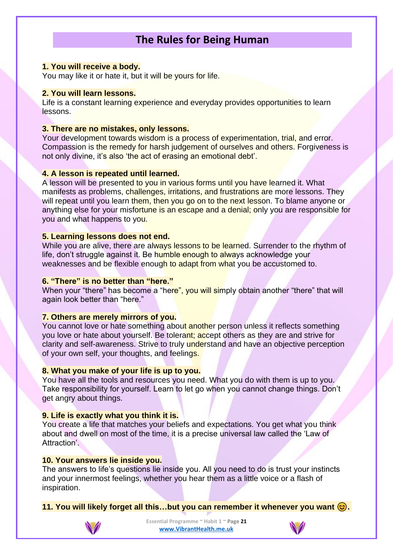# **The Rules for Being Human**

### **1. You will receive a body.**

You may like it or hate it, but it will be yours for life.

### **2. You will learn lessons.**

Life is a constant learning experience and everyday provides opportunities to learn lessons.

### **3. There are no mistakes, only lessons.**

Your development towards wisdom is a process of experimentation, trial, and error. Compassion is the remedy for harsh judgement of ourselves and others. Forgiveness is not only divine, it's also 'the act of erasing an emotional debt'.

### **4. A lesson is repeated until learned.**

A lesson will be presented to you in various forms until you have learned it. What manifests as problems, challenges, irritations, and frustrations are more lessons. They will repeat until you learn them, then you go on to the next lesson. To blame anyone or anything else for your misfortune is an escape and a denial; only you are responsible for you and what happens to you.

### **5. Learning lessons does not end.**

While you are alive, there are always lessons to be learned. Surrender to the rhythm of life, don't struggle against it. Be humble enough to always acknowledge your weaknesses and be flexible enough to adapt from what you be accustomed to.

### **6. "There" is no better than "here."**

When your "there" has become a "here", you will simply obtain another "there" that will again look better than "here."

### **7. Others are merely mirrors of you.**

You cannot love or hate something about another person unless it reflects something you love or hate about yourself. Be tolerant; accept others as they are and strive for clarity and self-awareness. Strive to truly understand and have an objective perception of your own self, your thoughts, and feelings.

### **8. What you make of your life is up to you.**

You have all the tools and resources you need. What you do with them is up to you. Take responsibility for yourself. Learn to let go when you cannot change things. Don't get angry about things.

### **9. Life is exactly what you think it is.**

You create a life that matches your beliefs and expectations. You get what you think about and dwell on most of the time, it is a precise universal law called the 'Law of Attraction'.

### **10. Your answers lie inside you.**

The answers to life's questions lie inside you. All you need to do is trust your instincts and your innermost feelings, whether you hear them as a little voice or a flash of inspiration.

**11. You will likely forget all this…but you can remember it whenever you want .**



**Essential Programme ~ Habit 1 ~ Page 21 [www.VibrantHealth.me.uk](https://www.vibranthealth.me.uk/essential-plan)**